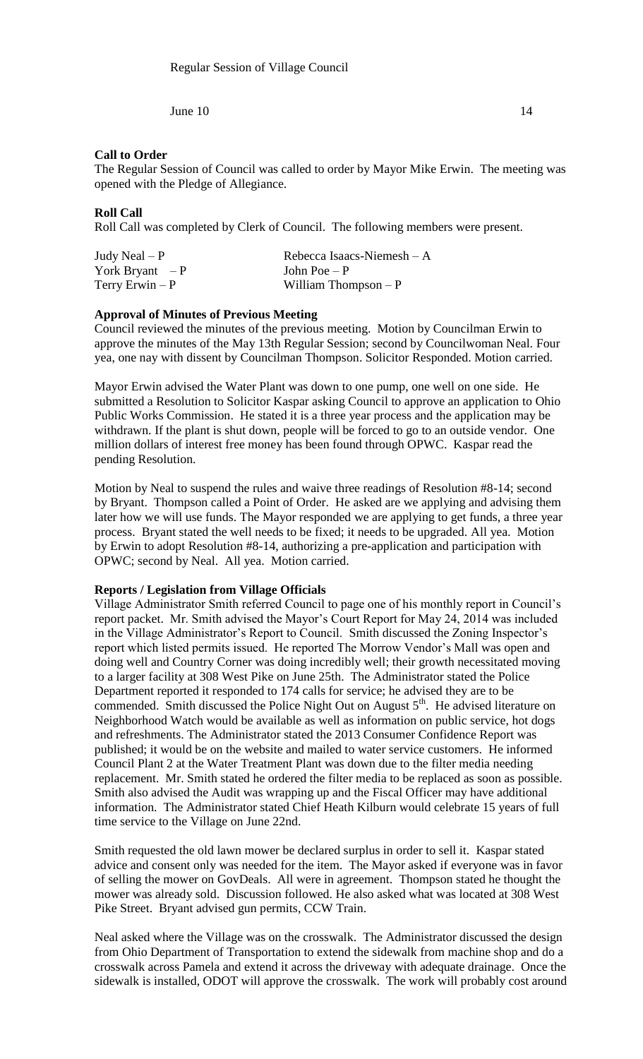June  $10 \hspace{2.5cm} 14$ 

### **Call to Order**

The Regular Session of Council was called to order by Mayor Mike Erwin. The meeting was opened with the Pledge of Allegiance.

### **Roll Call**

Roll Call was completed by Clerk of Council. The following members were present.

| Judy Neal $-P$   | Rebecca Isaacs-Niemesh – A |
|------------------|----------------------------|
| York Bryant $-P$ | John Poe $- P$             |
| Terry Erwin $-P$ | William Thompson $-P$      |

### **Approval of Minutes of Previous Meeting**

Council reviewed the minutes of the previous meeting. Motion by Councilman Erwin to approve the minutes of the May 13th Regular Session; second by Councilwoman Neal. Four yea, one nay with dissent by Councilman Thompson. Solicitor Responded. Motion carried.

Mayor Erwin advised the Water Plant was down to one pump, one well on one side. He submitted a Resolution to Solicitor Kaspar asking Council to approve an application to Ohio Public Works Commission. He stated it is a three year process and the application may be withdrawn. If the plant is shut down, people will be forced to go to an outside vendor. One million dollars of interest free money has been found through OPWC. Kaspar read the pending Resolution.

Motion by Neal to suspend the rules and waive three readings of Resolution #8-14; second by Bryant. Thompson called a Point of Order. He asked are we applying and advising them later how we will use funds. The Mayor responded we are applying to get funds, a three year process. Bryant stated the well needs to be fixed; it needs to be upgraded. All yea. Motion by Erwin to adopt Resolution #8-14, authorizing a pre-application and participation with OPWC; second by Neal. All yea. Motion carried.

#### **Reports / Legislation from Village Officials**

Village Administrator Smith referred Council to page one of his monthly report in Council's report packet. Mr. Smith advised the Mayor's Court Report for May 24, 2014 was included in the Village Administrator's Report to Council. Smith discussed the Zoning Inspector's report which listed permits issued. He reported The Morrow Vendor's Mall was open and doing well and Country Corner was doing incredibly well; their growth necessitated moving to a larger facility at 308 West Pike on June 25th. The Administrator stated the Police Department reported it responded to 174 calls for service; he advised they are to be commended. Smith discussed the Police Night Out on August  $5<sup>th</sup>$ . He advised literature on Neighborhood Watch would be available as well as information on public service, hot dogs and refreshments. The Administrator stated the 2013 Consumer Confidence Report was published; it would be on the website and mailed to water service customers. He informed Council Plant 2 at the Water Treatment Plant was down due to the filter media needing replacement. Mr. Smith stated he ordered the filter media to be replaced as soon as possible. Smith also advised the Audit was wrapping up and the Fiscal Officer may have additional information. The Administrator stated Chief Heath Kilburn would celebrate 15 years of full time service to the Village on June 22nd.

Smith requested the old lawn mower be declared surplus in order to sell it. Kaspar stated advice and consent only was needed for the item. The Mayor asked if everyone was in favor of selling the mower on GovDeals. All were in agreement. Thompson stated he thought the mower was already sold. Discussion followed. He also asked what was located at 308 West Pike Street. Bryant advised gun permits, CCW Train.

Neal asked where the Village was on the crosswalk. The Administrator discussed the design from Ohio Department of Transportation to extend the sidewalk from machine shop and do a crosswalk across Pamela and extend it across the driveway with adequate drainage. Once the sidewalk is installed, ODOT will approve the crosswalk. The work will probably cost around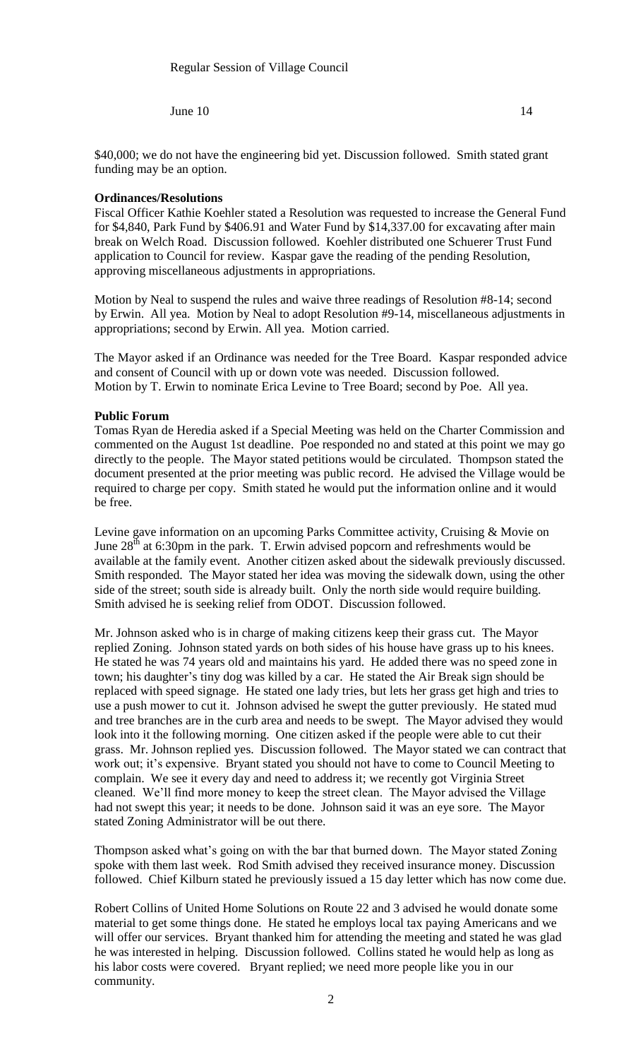June  $10 \hspace{2.5cm} 14$ 

\$40,000; we do not have the engineering bid yet. Discussion followed. Smith stated grant funding may be an option.

## **Ordinances/Resolutions**

Fiscal Officer Kathie Koehler stated a Resolution was requested to increase the General Fund for \$4,840, Park Fund by \$406.91 and Water Fund by \$14,337.00 for excavating after main break on Welch Road. Discussion followed. Koehler distributed one Schuerer Trust Fund application to Council for review. Kaspar gave the reading of the pending Resolution, approving miscellaneous adjustments in appropriations.

Motion by Neal to suspend the rules and waive three readings of Resolution #8-14; second by Erwin. All yea. Motion by Neal to adopt Resolution #9-14, miscellaneous adjustments in appropriations; second by Erwin. All yea. Motion carried.

The Mayor asked if an Ordinance was needed for the Tree Board. Kaspar responded advice and consent of Council with up or down vote was needed. Discussion followed. Motion by T. Erwin to nominate Erica Levine to Tree Board; second by Poe. All yea.

# **Public Forum**

Tomas Ryan de Heredia asked if a Special Meeting was held on the Charter Commission and commented on the August 1st deadline. Poe responded no and stated at this point we may go directly to the people. The Mayor stated petitions would be circulated. Thompson stated the document presented at the prior meeting was public record. He advised the Village would be required to charge per copy. Smith stated he would put the information online and it would be free.

Levine gave information on an upcoming Parks Committee activity, Cruising & Movie on June  $28<sup>th</sup>$  at 6:30pm in the park. T. Erwin advised popcorn and refreshments would be available at the family event. Another citizen asked about the sidewalk previously discussed. Smith responded. The Mayor stated her idea was moving the sidewalk down, using the other side of the street; south side is already built. Only the north side would require building. Smith advised he is seeking relief from ODOT. Discussion followed.

Mr. Johnson asked who is in charge of making citizens keep their grass cut. The Mayor replied Zoning. Johnson stated yards on both sides of his house have grass up to his knees. He stated he was 74 years old and maintains his yard. He added there was no speed zone in town; his daughter's tiny dog was killed by a car. He stated the Air Break sign should be replaced with speed signage. He stated one lady tries, but lets her grass get high and tries to use a push mower to cut it. Johnson advised he swept the gutter previously. He stated mud and tree branches are in the curb area and needs to be swept. The Mayor advised they would look into it the following morning. One citizen asked if the people were able to cut their grass. Mr. Johnson replied yes. Discussion followed. The Mayor stated we can contract that work out; it's expensive. Bryant stated you should not have to come to Council Meeting to complain. We see it every day and need to address it; we recently got Virginia Street cleaned. We'll find more money to keep the street clean. The Mayor advised the Village had not swept this year; it needs to be done. Johnson said it was an eye sore. The Mayor stated Zoning Administrator will be out there.

Thompson asked what's going on with the bar that burned down. The Mayor stated Zoning spoke with them last week. Rod Smith advised they received insurance money. Discussion followed. Chief Kilburn stated he previously issued a 15 day letter which has now come due.

Robert Collins of United Home Solutions on Route 22 and 3 advised he would donate some material to get some things done. He stated he employs local tax paying Americans and we will offer our services. Bryant thanked him for attending the meeting and stated he was glad he was interested in helping. Discussion followed. Collins stated he would help as long as his labor costs were covered. Bryant replied; we need more people like you in our community.